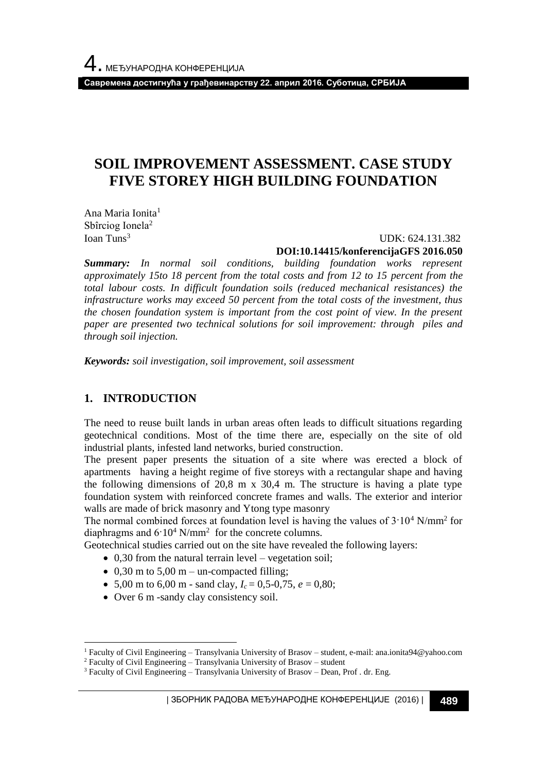**Савремена достигнућа у грађевинарству 22. април 2016. Суботица, СРБИЈА**

# **SOIL IMPROVEMENT ASSESSMENT. CASE STUDY FIVE STOREY HIGH BUILDING FOUNDATION**

Ana Maria Ionita<sup>1</sup> Sbîrciog Ionela<sup>2</sup> Ioan Tuns<sup>3</sup>

UDK: 624.131.382

**DOI:10.14415/konferencijaGFS 2016.050**

*Summary: In normal soil conditions, building foundation works represent approximately 15to 18 percent from the total costs and from 12 to 15 percent from the total labour costs. In difficult foundation soils (reduced mechanical resistances) the infrastructure works may exceed 50 percent from the total costs of the investment, thus the chosen foundation system is important from the cost point of view. In the present paper are presented two technical solutions for soil improvement: through piles and through soil injection.*

*Keywords: soil investigation, soil improvement, soil assessment*

# **1. INTRODUCTION**

l

The need to reuse built lands in urban areas often leads to difficult situations regarding geotechnical conditions. Most of the time there are, especially on the site of old industrial plants, infested land networks, buried construction.

The present paper presents the situation of a site where was erected a block of apartments having a height regime of five storeys with a rectangular shape and having the following dimensions of 20,8 m  $\times$  30,4 m. The structure is having a plate type foundation system with reinforced concrete frames and walls. The exterior and interior walls are made of brick masonry and Ytong type masonry

The normal combined forces at foundation level is having the values of  $3.10^4$  N/mm<sup>2</sup> for diaphragms and  $6.10^4$  N/mm<sup>2</sup> for the concrete columns.

Geotechnical studies carried out on the site have revealed the following layers:

- $\bullet$  0,30 from the natural terrain level vegetation soil;
- $\bullet$  0,30 m to 5,00 m un-compacted filling;
- 5,00 m to 6,00 m sand clay,  $I_c = 0.5{\text -}0.75$ ,  $e = 0.80$ ;
- Over 6 m -sandy clay consistency soil.

<sup>1</sup> Faculty of Civil Engineering – Transylvania University of Brasov – student, e-mail: ana.ionita94@yahoo.com

<sup>2</sup> Faculty of Civil Engineering – Transylvania University of Brasov – student

<sup>&</sup>lt;sup>3</sup> Faculty of Civil Engineering – Transylvania University of Brasov – Dean, Prof . dr. Eng.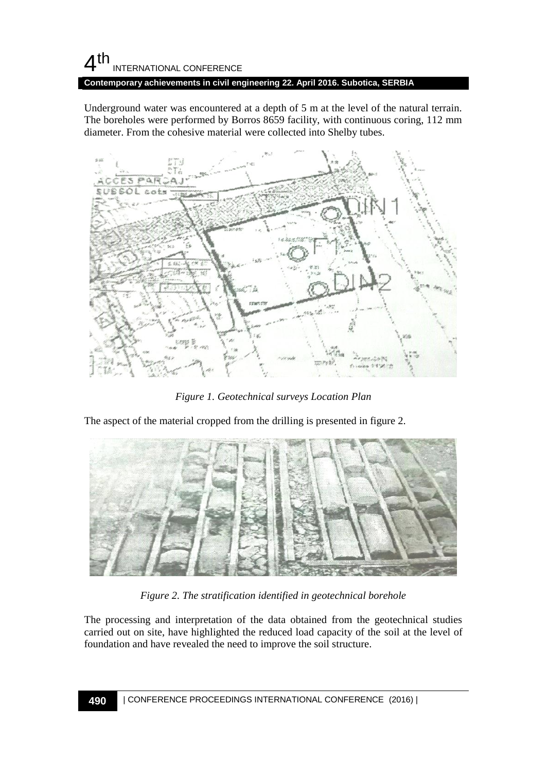# $4<sup>th</sup>$ INTERNATIONAL CONFERENCE

**Contemporary achievements in civil engineering 22. April 2016. Subotica, SERBIA**

Underground water was encountered at a depth of 5 m at the level of the natural terrain. The boreholes were performed by Borros 8659 facility, with continuous coring, 112 mm diameter. From the cohesive material were collected into Shelby tubes.



*Figure 1. Geotechnical surveys Location Plan*

The aspect of the material cropped from the drilling is presented in figure 2.



*Figure 2. The stratification identified in geotechnical borehole*

The processing and interpretation of the data obtained from the geotechnical studies carried out on site, have highlighted the reduced load capacity of the soil at the level of foundation and have revealed the need to improve the soil structure.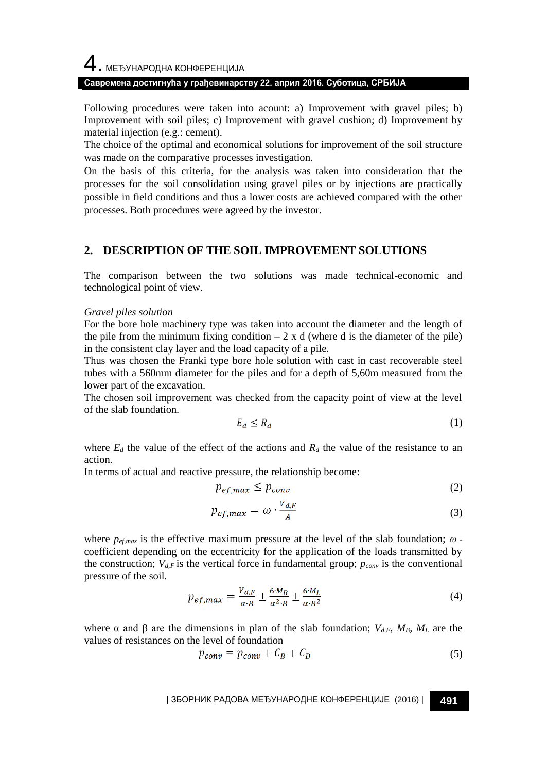# 4. МЕЂУНАРОДНА КОНФЕРЕНЦИЈА

## **Савремена достигнућа у грађевинарству 22. април 2016. Суботица, СРБИЈА**

Following procedures were taken into acount: a) Improvement with gravel piles; b) Improvement with soil piles; c) Improvement with gravel cushion; d) Improvement by material injection (e.g.: cement).

The choice of the optimal and economical solutions for improvement of the soil structure was made on the comparative processes investigation.

On the basis of this criteria, for the analysis was taken into consideration that the processes for the soil consolidation using gravel piles or by injections are practically possible in field conditions and thus a lower costs are achieved compared with the other processes. Both procedures were agreed by the investor.

# **2. DESCRIPTION OF THE SOIL IMPROVEMENT SOLUTIONS**

The comparison between the two solutions was made technical-economic and technological point of view.

#### *Gravel piles solution*

For the bore hole machinery type was taken into account the diameter and the length of the pile from the minimum fixing condition  $-2 \times d$  (where d is the diameter of the pile) in the consistent clay layer and the load capacity of a pile.

Thus was chosen the Franki type bore hole solution with cast in cast recoverable steel tubes with a 560mm diameter for the piles and for a depth of 5,60m measured from the lower part of the excavation.

The chosen soil improvement was checked from the capacity point of view at the level of the slab foundation.

$$
E_d \le R_d \tag{1}
$$

where  $E_d$  the value of the effect of the actions and  $R_d$  the value of the resistance to an action.

In terms of actual and reactive pressure, the relationship become:

$$
p_{ef,max} \le p_{conv} \tag{2}
$$

$$
p_{ef,max} = \omega \cdot \frac{v_{d,F}}{A} \tag{3}
$$

where *pef,max* is the effective maximum pressure at the level of the slab foundation; *ω* coefficient depending on the eccentricity for the application of the loads transmitted by the construction;  $V_{d,F}$  is the vertical force in fundamental group;  $p_{conv}$  is the conventional pressure of the soil.

$$
p_{ef,max} = \frac{v_{d,F}}{\alpha \cdot B} \pm \frac{6 \cdot M_B}{\alpha^2 \cdot B} \pm \frac{6 \cdot M_L}{\alpha \cdot B^2}
$$
(4)

where α and β are the dimensions in plan of the slab foundation;  $V_{d,F}$ ,  $M_B$ ,  $M_L$  are the values of resistances on the level of foundation

$$
p_{conv} = \overline{p_{conv}} + C_B + C_D \tag{5}
$$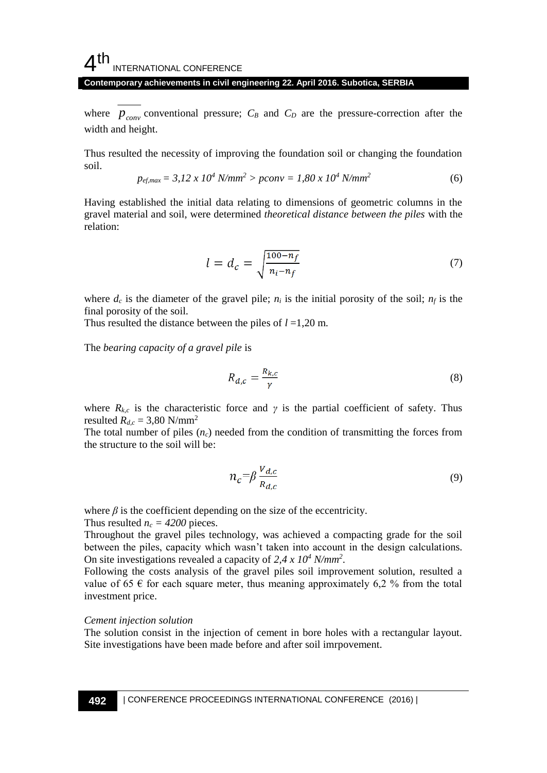# $4<sup>th</sup>$ INTERNATIONAL CONFERENCE

#### **Contemporary achievements in civil engineering 22. April 2016. Subotica, SERBIA**

where  $p_{conv}$  conventional pressure;  $C_B$  and  $C_D$  are the pressure-correction after the width and height.

Thus resulted the necessity of improving the foundation soil or changing the foundation soil.

$$
p_{ef,max} = 3.12 \times 10^4 \text{ N/mm}^2 > pconv = 1.80 \times 10^4 \text{ N/mm}^2 \tag{6}
$$

Having established the initial data relating to dimensions of geometric columns in the gravel material and soil, were determined *theoretical distance between the piles* with the relation:

$$
l = d_c = \sqrt{\frac{100 - n_f}{n_i - n_f}}\tag{7}
$$

where  $d_c$  is the diameter of the gravel pile;  $n_i$  is the initial porosity of the soil;  $n_f$  is the final porosity of the soil.

Thus resulted the distance between the piles of *l* =1,20 m.

The *bearing capacity of a gravel pile* is

$$
R_{d,c} = \frac{R_{k,c}}{\gamma} \tag{8}
$$

where  $R_{k,c}$  is the characteristic force and  $\gamma$  is the partial coefficient of safety. Thus resulted  $R_{d,c}$  = 3,80 N/mm<sup>2</sup>

The total number of piles  $(n_c)$  needed from the condition of transmitting the forces from the structure to the soil will be:

$$
n_c = \beta \frac{V_{d,c}}{R_{d,c}} \tag{9}
$$

where  $\beta$  is the coefficient depending on the size of the eccentricity.

Thus resulted  $n_c = 4200$  pieces.

Throughout the gravel piles technology, was achieved a compacting grade for the soil between the piles, capacity which wasn't taken into account in the design calculations. On site investigations revealed a capacity of *2,4 x 10<sup>4</sup> N/mm<sup>2</sup>* .

Following the costs analysis of the gravel piles soil improvement solution, resulted a value of 65  $\epsilon$  for each square meter, thus meaning approximately 6,2 % from the total investment price.

#### *Cement injection solution*

The solution consist in the injection of cement in bore holes with a rectangular layout. Site investigations have been made before and after soil imrpovement.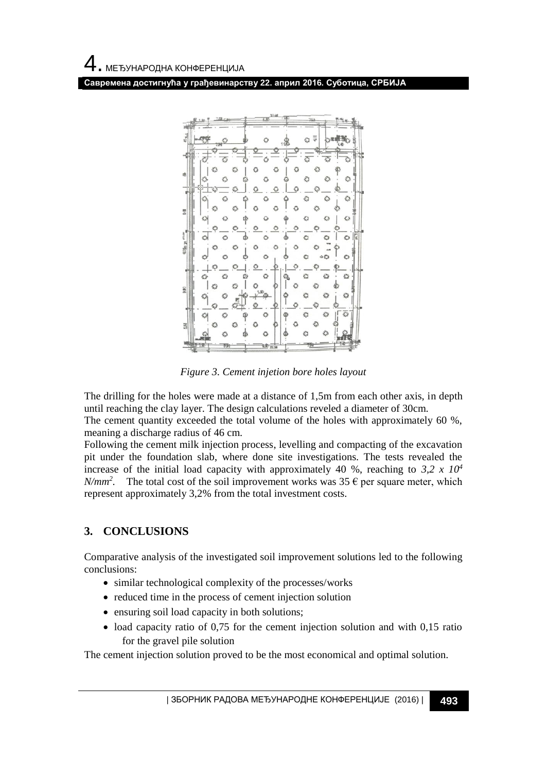**Савремена достигнућа у грађевинарству 22. април 2016. Суботица, СРБИЈА**



*Figure 3. Cement injetion bore holes layout*

The drilling for the holes were made at a distance of 1,5m from each other axis, in depth until reaching the clay layer. The design calculations reveled a diameter of 30cm.

The cement quantity exceeded the total volume of the holes with approximately 60 %, meaning a discharge radius of 46 cm.

Following the cement milk injection process, levelling and compacting of the excavation pit under the foundation slab, where done site investigations. The tests revealed the increase of the initial load capacity with approximately 40 %, reaching to 3,2  $x$  10<sup>4</sup> *N/mm<sup>2</sup>*. The total cost of the soil improvement works was 35  $\epsilon$  per square meter, which represent approximately 3,2% from the total investment costs.

# **3. CONCLUSIONS**

Comparative analysis of the investigated soil improvement solutions led to the following conclusions:

- similar technological complexity of the processes/works
- reduced time in the process of cement injection solution
- ensuring soil load capacity in both solutions;
- $\bullet$  load capacity ratio of 0,75 for the cement injection solution and with 0,15 ratio for the gravel pile solution

The cement injection solution proved to be the most economical and optimal solution.